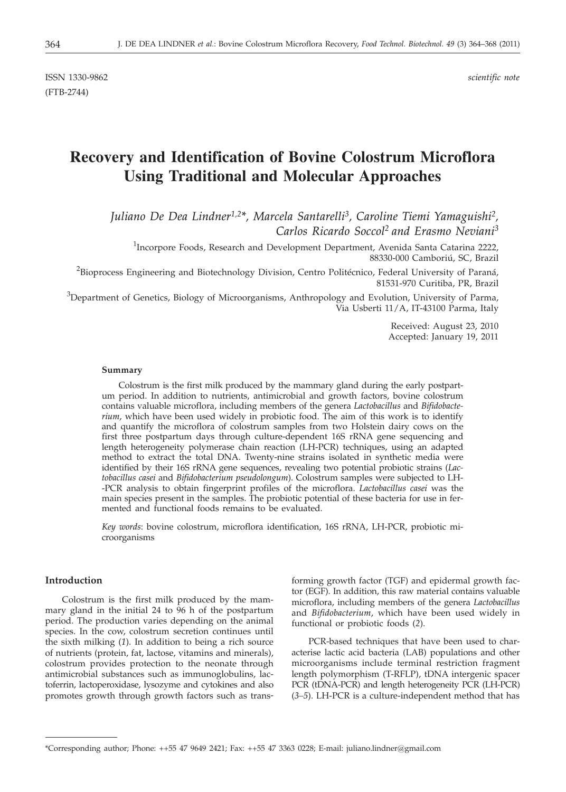# **Recovery and Identification of Bovine Colostrum Microflora Using Traditional and Molecular Approaches**

*Juliano De Dea Lindner1,2\*, Marcela Santarelli3, Caroline Tiemi Yamaguishi2, Carlos Ricardo Soccol2 and Erasmo Neviani3*

<sup>1</sup>Incorpore Foods, Research and Development Department, Avenida Santa Catarina 2222, 88330-000 Camboriú, SC, Brazil

<sup>2</sup>Bioprocess Engineering and Biotechnology Division, Centro Politécnico, Federal University of Paraná, 81531-970 Curitiba, PR, Brazil

 $3$ Department of Genetics, Biology of Microorganisms, Anthropology and Evolution, University of Parma, Via Usberti 11/A, IT-43100 Parma, Italy

> Received: August 23, 2010 Accepted: January 19, 2011

#### **Summary**

Colostrum is the first milk produced by the mammary gland during the early postpartum period. In addition to nutrients, antimicrobial and growth factors, bovine colostrum contains valuable microflora, including members of the genera *Lactobacillus* and *Bifidobacterium*, which have been used widely in probiotic food. The aim of this work is to identify and quantify the microflora of colostrum samples from two Holstein dairy cows on the first three postpartum days through culture-dependent 16S rRNA gene sequencing and length heterogeneity polymerase chain reaction (LH-PCR) techniques, using an adapted method to extract the total DNA. Twenty-nine strains isolated in synthetic media were identified by their 16S rRNA gene sequences, revealing two potential probiotic strains (*Lactobacillus casei* and *Bifidobacterium pseudolongum*). Colostrum samples were subjected to LH- -PCR analysis to obtain fingerprint profiles of the microflora. *Lactobacillus casei* was the main species present in the samples. The probiotic potential of these bacteria for use in fermented and functional foods remains to be evaluated.

*Key words*: bovine colostrum, microflora identification, 16S rRNA, LH-PCR, probiotic microorganisms

# **Introduction**

Colostrum is the first milk produced by the mammary gland in the initial 24 to 96 h of the postpartum period. The production varies depending on the animal species. In the cow, colostrum secretion continues until the sixth milking (*1*). In addition to being a rich source of nutrients (protein, fat, lactose, vitamins and minerals), colostrum provides protection to the neonate through antimicrobial substances such as immunoglobulins, lactoferrin, lactoperoxidase, lysozyme and cytokines and also promotes growth through growth factors such as transforming growth factor (TGF) and epidermal growth factor (EGF). In addition, this raw material contains valuable microflora, including members of the genera *Lactobacillus* and *Bifidobacterium*, which have been used widely in functional or probiotic foods (*2*).

PCR-based techniques that have been used to characterise lactic acid bacteria (LAB) populations and other microorganisms include terminal restriction fragment length polymorphism (T-RFLP), tDNA intergenic spacer PCR (tDNA-PCR) and length heterogeneity PCR (LH-PCR) (*3–5*). LH-PCR is a culture-independent method that has

<sup>\*</sup>Corresponding author; Phone: ++55 47 9649 2421; Fax: ++55 47 3363 0228; E-mail: juliano.lindner@gmail.com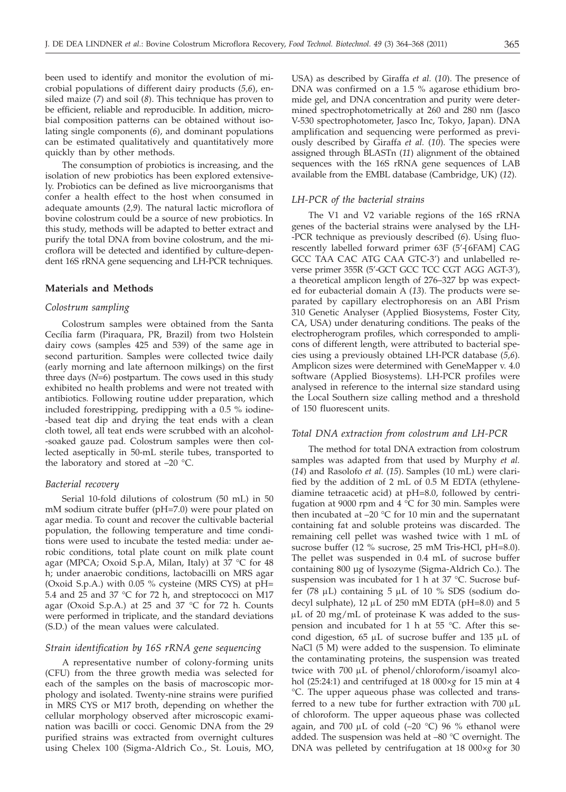been used to identify and monitor the evolution of microbial populations of different dairy products (*5,6*), ensiled maize (*7*) and soil (*8*). This technique has proven to be efficient, reliable and reproducible. In addition, microbial composition patterns can be obtained without isolating single components (*6*), and dominant populations can be estimated qualitatively and quantitatively more quickly than by other methods.

The consumption of probiotics is increasing, and the isolation of new probiotics has been explored extensively. Probiotics can be defined as live microorganisms that confer a health effect to the host when consumed in adequate amounts (*2,9*). The natural lactic microflora of bovine colostrum could be a source of new probiotics. In this study, methods will be adapted to better extract and purify the total DNA from bovine colostrum, and the microflora will be detected and identified by culture-dependent 16S rRNA gene sequencing and LH-PCR techniques.

# **Materials and Methods**

## *Colostrum sampling*

Colostrum samples were obtained from the Santa Cecília farm (Piraquara, PR, Brazil) from two Holstein dairy cows (samples 425 and 539) of the same age in second parturition. Samples were collected twice daily (early morning and late afternoon milkings) on the first three days (*N*=6) postpartum. The cows used in this study exhibited no health problems and were not treated with antibiotics. Following routine udder preparation, which included forestripping, predipping with a 0.5 % iodine- -based teat dip and drying the teat ends with a clean cloth towel, all teat ends were scrubbed with an alcohol- -soaked gauze pad. Colostrum samples were then collected aseptically in 50-mL sterile tubes, transported to the laboratory and stored at  $-20$  °C.

#### *Bacterial recovery*

Serial 10-fold dilutions of colostrum (50 mL) in 50 mM sodium citrate buffer (pH=7.0) were pour plated on agar media. To count and recover the cultivable bacterial population, the following temperature and time conditions were used to incubate the tested media: under aerobic conditions, total plate count on milk plate count agar (MPCA; Oxoid S.p.A, Milan, Italy) at 37 °C for 48 h; under anaerobic conditions, lactobacilli on MRS agar (Oxoid S.p.A.) with 0.05 % cysteine (MRS CYS) at pH= 5.4 and 25 and 37 °C for 72 h, and streptococci on M17 agar (Oxoid S.p.A.) at 25 and 37 °C for 72 h. Counts were performed in triplicate, and the standard deviations (S.D.) of the mean values were calculated.

# *Strain identification by 16S rRNA gene sequencing*

A representative number of colony-forming units (CFU) from the three growth media was selected for each of the samples on the basis of macroscopic morphology and isolated. Twenty-nine strains were purified in MRS CYS or M17 broth, depending on whether the cellular morphology observed after microscopic examination was bacilli or cocci. Genomic DNA from the 29 purified strains was extracted from overnight cultures using Chelex 100 (Sigma-Aldrich Co., St. Louis, MO,

USA) as described by Giraffa *et al.* (*10*). The presence of DNA was confirmed on a 1.5 % agarose ethidium bromide gel, and DNA concentration and purity were determined spectrophotometrically at 260 and 280 nm (Jasco V-530 spectrophotometer, Jasco Inc, Tokyo, Japan). DNA amplification and sequencing were performed as previously described by Giraffa *et al.* (*10*). The species were assigned through BLASTn (*11*) alignment of the obtained sequences with the 16S rRNA gene sequences of LAB available from the EMBL database (Cambridge, UK) (*12*).

#### *LH-PCR of the bacterial strains*

The V1 and V2 variable regions of the 16S rRNA genes of the bacterial strains were analysed by the LH- -PCR technique as previously described (*6*). Using fluorescently labelled forward primer 63F (5'-[6FAM] CAG GCC TAA CAC ATG CAA GTC-3') and unlabelled reverse primer 355R (5'-GCT GCC TCC CGT AGG AGT-3'), a theoretical amplicon length of 276–327 bp was expected for eubacterial domain A (*13*). The products were separated by capillary electrophoresis on an ABI Prism 310 Genetic Analyser (Applied Biosystems, Foster City, CA, USA) under denaturing conditions. The peaks of the electropherogram profiles, which corresponded to amplicons of different length, were attributed to bacterial species using a previously obtained LH-PCR database (*5,6*). Amplicon sizes were determined with GeneMapper v. 4.0 software (Applied Biosystems). LH-PCR profiles were analysed in reference to the internal size standard using the Local Southern size calling method and a threshold of 150 fluorescent units.

#### *Total DNA extraction from colostrum and LH-PCR*

The method for total DNA extraction from colostrum samples was adapted from that used by Murphy *et al.* (*14*) and Rasolofo *et al.* (*15*). Samples (10 mL) were clarified by the addition of 2 mL of 0.5 M EDTA (ethylenediamine tetraacetic acid) at pH=8.0, followed by centrifugation at 9000 rpm and 4 °C for 30 min. Samples were then incubated at  $-20$  °C for 10 min and the supernatant containing fat and soluble proteins was discarded. The remaining cell pellet was washed twice with 1 mL of sucrose buffer (12 % sucrose, 25 mM Tris-HCl, pH=8.0). The pellet was suspended in 0.4 mL of sucrose buffer containing 800 µg of lysozyme (Sigma-Aldrich Co.). The suspension was incubated for 1 h at 37 °C. Sucrose buffer (78  $\mu$ L) containing 5  $\mu$ L of 10 % SDS (sodium dodecyl sulphate),  $12 \mu L$  of  $250 \text{ mM}$  EDTA (pH=8.0) and 5  $\mu$ L of 20 mg/mL of proteinase K was added to the suspension and incubated for 1 h at 55 °C. After this second digestion,  $65 \mu L$  of sucrose buffer and  $135 \mu L$  of NaCl (5 M) were added to the suspension. To eliminate the contaminating proteins, the suspension was treated twice with 700  $\mu$ L of phenol/chloroform/isoamyl alcohol (25:24:1) and centrifuged at 18 000×*g* for 15 min at 4 °C. The upper aqueous phase was collected and transferred to a new tube for further extraction with 700 m<sup>L</sup> of chloroform. The upper aqueous phase was collected again, and 700  $\mu$ L of cold (-20 °C) 96 % ethanol were added. The suspension was held at –80 °C overnight. The DNA was pelleted by centrifugation at 18 000×*g* for 30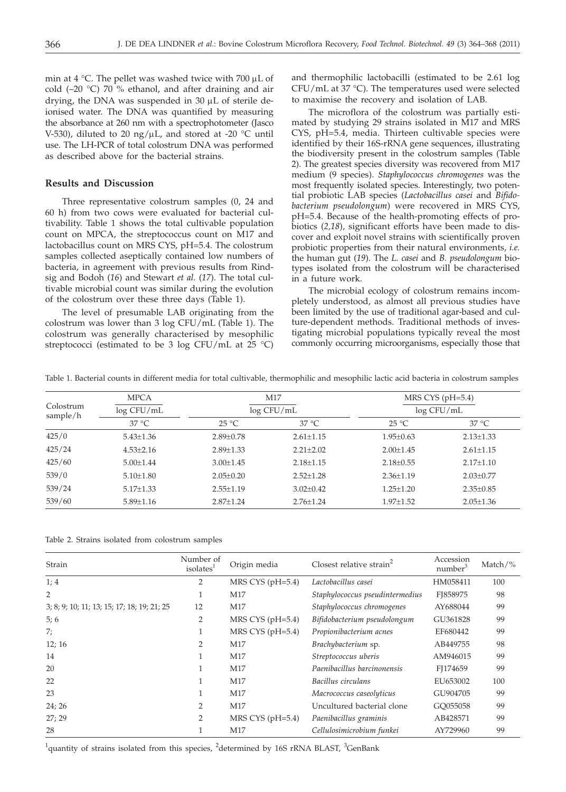min at 4 °C. The pellet was washed twice with 700  $\mu$ L of cold (–20 °C) 70 % ethanol, and after draining and air drying, the DNA was suspended in  $30 \mu L$  of sterile deionised water. The DNA was quantified by measuring the absorbance at 260 nm with a spectrophotometer (Jasco V-530), diluted to 20 ng/ $\mu$ L, and stored at -20 °C until use. The LH-PCR of total colostrum DNA was performed as described above for the bacterial strains.

# **Results and Discussion**

Three representative colostrum samples (0, 24 and 60 h) from two cows were evaluated for bacterial cultivability. Table 1 shows the total cultivable population count on MPCA, the streptococcus count on M17 and lactobacillus count on MRS CYS, pH=5.4. The colostrum samples collected aseptically contained low numbers of bacteria, in agreement with previous results from Rindsig and Bodoh (*16*) and Stewart *et al.* (*17*). The total cultivable microbial count was similar during the evolution of the colostrum over these three days (Table 1).

The level of presumable LAB originating from the colostrum was lower than 3 log CFU/mL (Table 1). The colostrum was generally characterised by mesophilic streptococci (estimated to be 3 log CFU/mL at  $25 \text{ }^{\circ}$ C)

and thermophilic lactobacilli (estimated to be 2.61 log CFU/mL at 37 °C). The temperatures used were selected to maximise the recovery and isolation of LAB.

The microflora of the colostrum was partially estimated by studying 29 strains isolated in M17 and MRS CYS, pH=5.4, media. Thirteen cultivable species were identified by their 16S-rRNA gene sequences, illustrating the biodiversity present in the colostrum samples (Table 2). The greatest species diversity was recovered from M17 medium (9 species). *Staphylococcus chromogenes* was the most frequently isolated species. Interestingly, two potential probiotic LAB species (*Lactobacillus casei* and *Bifidobacterium pseudolongum*) were recovered in MRS CYS, pH=5.4. Because of the health-promoting effects of probiotics (*2,18*), significant efforts have been made to discover and exploit novel strains with scientifically proven probiotic properties from their natural environments, *i.e.* the human gut (*19*). The *L. casei* and *B. pseudolongum* biotypes isolated from the colostrum will be characterised in a future work.

The microbial ecology of colostrum remains incompletely understood, as almost all previous studies have been limited by the use of traditional agar-based and culture-dependent methods. Traditional methods of investigating microbial populations typically reveal the most commonly occurring microorganisms, especially those that

Table 1. Bacterial counts in different media for total cultivable, thermophilic and mesophilic lactic acid bacteria in colostrum samples

| Colostrum<br>sample/h | <b>MPCA</b>     | M17<br>log CFU/mL |                 | MRS CYS $(pH=5.4)$<br>log CFU/mL |                 |  |
|-----------------------|-----------------|-------------------|-----------------|----------------------------------|-----------------|--|
|                       | log CFU/mL      |                   |                 |                                  |                 |  |
|                       | $37^{\circ}$ C  | $25^{\circ}$ C    | $37^{\circ}$ C  | $25^{\circ}$ C                   | $37^{\circ}$ C  |  |
| 425/0                 | $5.43 \pm 1.36$ | $2.89 \pm 0.78$   | $2.61 \pm 1.15$ | $1.95 \pm 0.63$                  | $2.13 \pm 1.33$ |  |
| 425/24                | $4.53 \pm 2.16$ | $2.89 \pm 1.33$   | $2.21 \pm 2.02$ | $2.00 \pm 1.45$                  | $2.61 \pm 1.15$ |  |
| 425/60                | $5.00 \pm 1.44$ | $3.00 \pm 1.45$   | $2.18 \pm 1.15$ | $2.18 \pm 0.55$                  | $2.17 \pm 1.10$ |  |
| 539/0                 | $5.10 \pm 1.80$ | $2.05 \pm 0.20$   | $2.52 \pm 1.28$ | $2.36 \pm 1.19$                  | $2.03 \pm 0.77$ |  |
| 539/24                | $5.17 \pm 1.33$ | $2.55 \pm 1.19$   | $3.02 + 0.42$   | $1.25 \pm 1.20$                  | $2.35 \pm 0.85$ |  |
| 539/60                | $5.89 \pm 1.16$ | $2.87 \pm 1.24$   | $2.76 \pm 1.24$ | $1.97 \pm 1.52$                  | $2.05 \pm 1.36$ |  |

| Strain                                      | Number of<br>isolates <sup>1</sup> | Origin media       | Closest relative strain <sup>2</sup> | Accession<br>number <sup>3</sup> | Match/ $\%$ |
|---------------------------------------------|------------------------------------|--------------------|--------------------------------------|----------------------------------|-------------|
| 1; 4                                        | 2                                  | MRS CYS $(pH=5.4)$ | Lactobacillus casei                  | HM058411                         | 100         |
| 2                                           | 1                                  | M17                | Staphylococcus pseudintermedius      | FI858975                         | 98          |
| 3; 8; 9; 10; 11; 13; 15; 17; 18; 19; 21; 25 | 12                                 | M17                | Staphylococcus chromogenes           | AY688044                         | 99          |
| 5;6                                         | 2                                  | MRS CYS (pH=5.4)   | Bifidobacterium pseudolongum         | GU361828                         | 99          |
| 7;                                          |                                    | MRS CYS $(pH=5.4)$ | Propionibacterium acnes              | EF680442                         | 99          |
| 12; 16                                      | 2                                  | M17                | Brachybacterium sp.                  | AB449755                         | 98          |
| 14                                          | 1                                  | M17                | Streptococcus uberis                 | AM946015                         | 99          |
| 20                                          | 1                                  | M17                | Paenibacillus barcinonensis          | FI174659                         | 99          |
| 22                                          | 1                                  | M17                | Bacillus circulans                   | EU653002                         | 100         |
| 23                                          |                                    | M17                | Macrococcus caseolyticus             | GU904705                         | 99          |
| 24; 26                                      | $\overline{2}$                     | M17                | Uncultured bacterial clone           | GQ055058                         | 99          |
| 27:29                                       | $\overline{2}$                     | MRS CYS $(pH=5.4)$ | Paenibacillus graminis               | AB428571                         | 99          |
| 28                                          |                                    | M17                | Cellulosimicrobium funkei            | AY729960                         | 99          |

<sup>1</sup>quantity of strains isolated from this species, <sup>2</sup>determined by 16S rRNA BLAST, <sup>3</sup>GenBank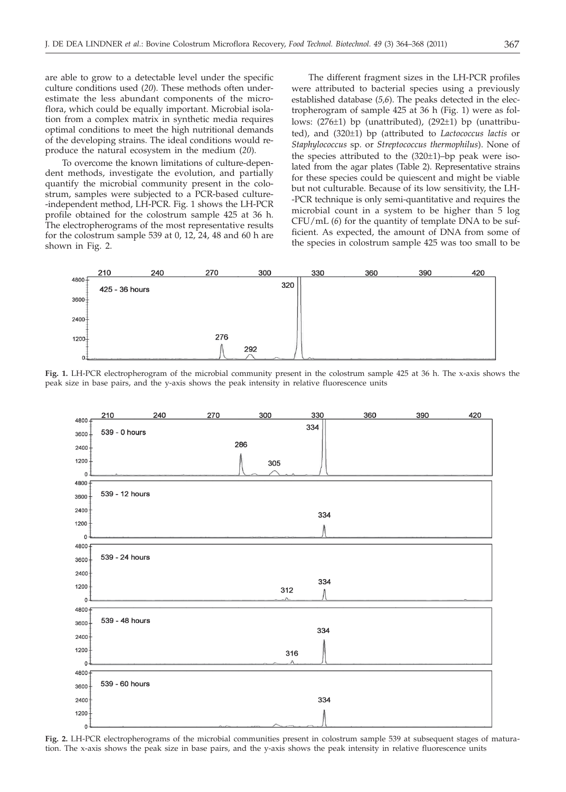are able to grow to a detectable level under the specific culture conditions used (*20*). These methods often underestimate the less abundant components of the microflora, which could be equally important. Microbial isolation from a complex matrix in synthetic media requires optimal conditions to meet the high nutritional demands of the developing strains. The ideal conditions would reproduce the natural ecosystem in the medium (*20*).

To overcome the known limitations of culture-dependent methods, investigate the evolution, and partially quantify the microbial community present in the colostrum, samples were subjected to a PCR-based culture- -independent method, LH-PCR. Fig. 1 shows the LH-PCR profile obtained for the colostrum sample 425 at 36 h. The electropherograms of the most representative results for the colostrum sample 539 at 0, 12, 24, 48 and 60 h are shown in Fig. 2.

The different fragment sizes in the LH-PCR profiles were attributed to bacterial species using a previously established database (*5,6*). The peaks detected in the electropherogram of sample 425 at 36 h (Fig. 1) were as follows: (276±1) bp (unattributed), (292±1) bp (unattributed), and (320±1) bp (attributed to *Lactococcus lactis* or *Staphylococcus* sp*.* or *Streptococcus thermophilus*). None of the species attributed to the (320±1)–bp peak were isolated from the agar plates (Table 2). Representative strains for these species could be quiescent and might be viable but not culturable. Because of its low sensitivity, the LH- -PCR technique is only semi-quantitative and requires the microbial count in a system to be higher than 5 log CFU/mL (*6*) for the quantity of template DNA to be sufficient. As expected, the amount of DNA from some of the species in colostrum sample 425 was too small to be



**Fig. 1.** LH-PCR electropherogram of the microbial community present in the colostrum sample 425 at 36 h. The x-axis shows the peak size in base pairs, and the y-axis shows the peak intensity in relative fluorescence units



**Fig. 2.** LH-PCR electropherograms of the microbial communities present in colostrum sample 539 at subsequent stages of maturation. The x-axis shows the peak size in base pairs, and the y-axis shows the peak intensity in relative fluorescence units